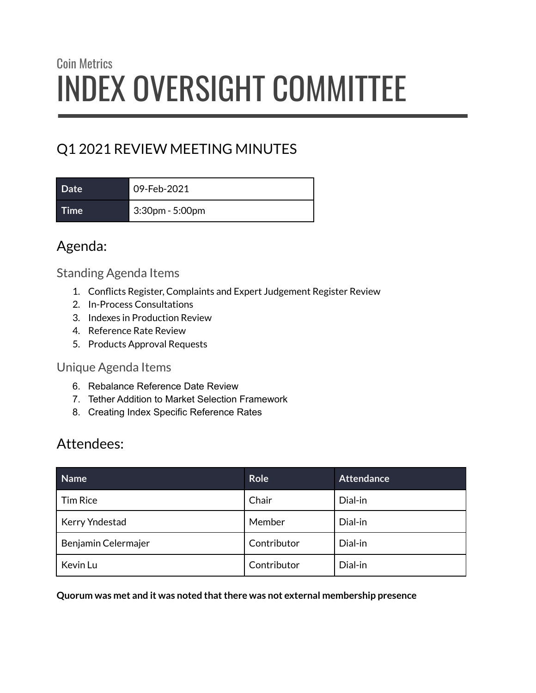# Coin Metrics INDEX OVERSIGHT COMMITTEE

## Q1 2021 REVIEW MEETING MINUTES

**Date** 09-Feb-2021

**Time** 3:30pm - 5:00pm

Agenda:

#### Standing Agenda Items

- 1. Conflicts Register, Complaints and Expert Judgement Register Review
- 2. In-Process Consultations
- 3. Indexes in Production Review
- 4. Reference Rate Review
- 5. Products Approval Requests

#### Unique Agenda Items

- 6. Rebalance Reference Date Review
- 7. Tether Addition to Market Selection Framework
- 8. Creating Index Specific Reference Rates

## Attendees:

| Name                | <b>Role</b> | <b>Attendance</b> |
|---------------------|-------------|-------------------|
| <b>Tim Rice</b>     | Chair       | Dial-in           |
| Kerry Yndestad      | Member      | Dial-in           |
| Benjamin Celermajer | Contributor | Dial-in           |
| Kevin Lu            | Contributor | Dial-in           |

**Quorum was met and it was noted thatthere was not external membership presence**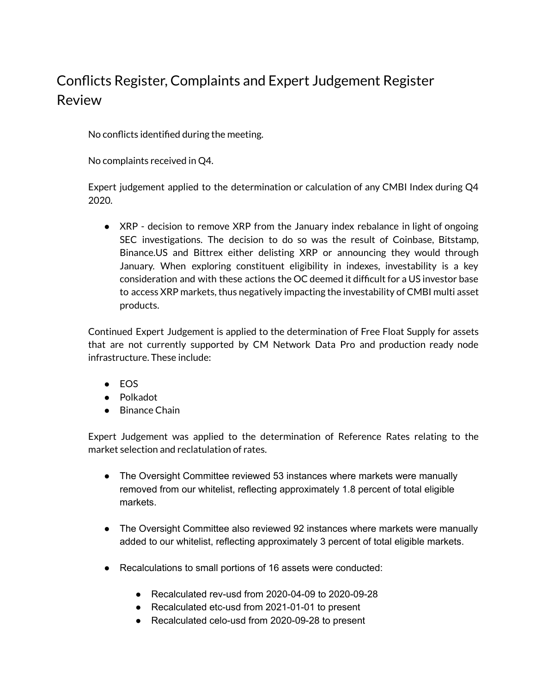## Conflicts Register, Complaints and Expert Judgement Register Review

No conflicts identified during the meeting.

No complaints received in Q4.

Expert judgement applied to the determination or calculation of any CMBI Index during Q4 2020.

● XRP - decision to remove XRP from the January index rebalance in light of ongoing SEC investigations. The decision to do so was the result of Coinbase, Bitstamp, Binance.US and Bittrex either delisting XRP or announcing they would through January. When exploring constituent eligibility in indexes, investability is a key consideration and with these actions the OC deemed it difficult for a US investor base to access XRP markets, thus negatively impacting the investability of CMBI multi asset products.

Continued Expert Judgement is applied to the determination of Free Float Supply for assets that are not currently supported by CM Network Data Pro and production ready node infrastructure. These include:

- EOS
- Polkadot
- Binance Chain

Expert Judgement was applied to the determination of Reference Rates relating to the market selection and reclatulation of rates.

- The Oversight Committee reviewed 53 instances where markets were manually removed from our whitelist, reflecting approximately 1.8 percent of total eligible markets.
- The Oversight Committee also reviewed 92 instances where markets were manually added to our whitelist, reflecting approximately 3 percent of total eligible markets.
- Recalculations to small portions of 16 assets were conducted:
	- Recalculated rev-usd from 2020-04-09 to 2020-09-28
	- Recalculated etc-usd from 2021-01-01 to present
	- Recalculated celo-usd from 2020-09-28 to present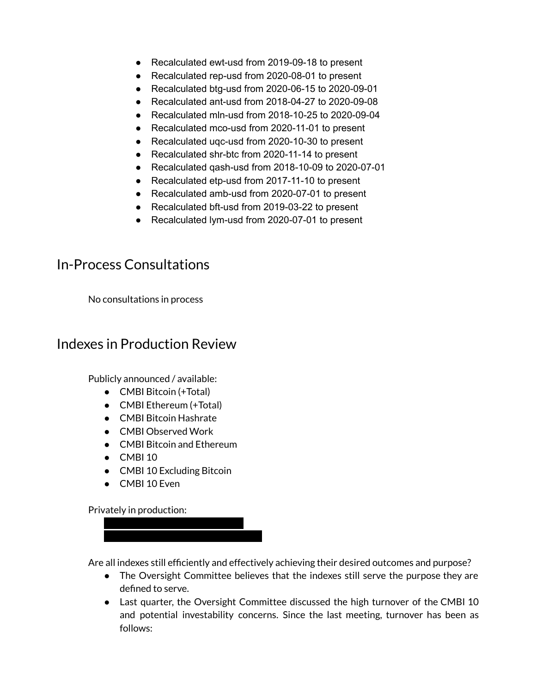- Recalculated ewt-usd from 2019-09-18 to present
- Recalculated rep-usd from 2020-08-01 to present
- Recalculated btg-usd from 2020-06-15 to 2020-09-01
- Recalculated ant-usd from 2018-04-27 to 2020-09-08
- Recalculated mln-usd from 2018-10-25 to 2020-09-04
- Recalculated mco-usd from 2020-11-01 to present
- Recalculated ugc-usd from 2020-10-30 to present
- Recalculated shr-btc from 2020-11-14 to present
- Recalculated qash-usd from 2018-10-09 to 2020-07-01
- Recalculated etp-usd from 2017-11-10 to present
- Recalculated amb-usd from 2020-07-01 to present
- Recalculated bft-usd from 2019-03-22 to present
- Recalculated lym-usd from 2020-07-01 to present

#### In-Process Consultations

No consultations in process

#### Indexes in Production Review

Publicly announced / available:

- CMBI Bitcoin (+Total)
- CMBI Ethereum (+Total)
- CMBI Bitcoin Hashrate
- CMBI Observed Work
- CMBI Bitcoin and Ethereum
- CMBI 10
- CMBI 10 Excluding Bitcoin
- CMBI 10 Even

Privately in production:

● XXXXXXXXXXXXXXXXXXXX ● XXXXXXXXXXXXXXXXXXXXXXX

Are all indexes still efficiently and effectively achieving their desired outcomes and purpose?

- The Oversight Committee believes that the indexes still serve the purpose they are defined to serve.
- Last quarter, the Oversight Committee discussed the high turnover of the CMBI 10 and potential investability concerns. Since the last meeting, turnover has been as follows: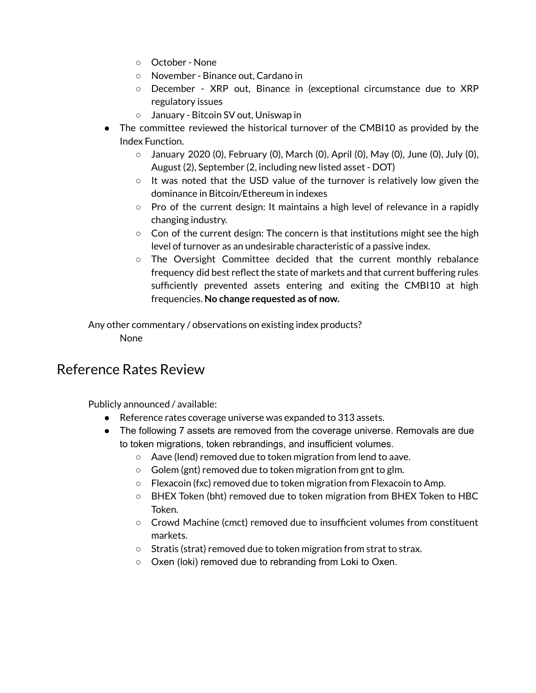- October None
- November Binance out, Cardano in
- December XRP out, Binance in (exceptional circumstance due to XRP regulatory issues
- January Bitcoin SV out, Uniswap in
- The committee reviewed the historical turnover of the CMBI10 as provided by the Index Function.
	- January 2020 (0), February (0), March (0), April (0), May (0), June (0), July (0), August (2), September (2, including new listed asset - DOT)
	- $\circ$  It was noted that the USD value of the turnover is relatively low given the dominance in Bitcoin/Ethereum in indexes
	- Pro of the current design: It maintains a high level of relevance in a rapidly changing industry.
	- $\circ$  Con of the current design: The concern is that institutions might see the high level of turnover as an undesirable characteristic of a passive index.
	- The Oversight Committee decided that the current monthly rebalance frequency did best reflect the state of markets and that current buffering rules sufficiently prevented assets entering and exiting the CMBI10 at high frequencies. **No change requested as of now.**

Any other commentary / observations on existing index products? None

#### Reference Rates Review

Publicly announced / available:

- Reference rates coverage universe was expanded to 313 assets.
- The following 7 assets are removed from the coverage universe. Removals are due to token migrations, token rebrandings, and insufficient volumes.
	- Aave (lend) removed due to token migration from lend to aave.
	- Golem (gnt) removed due to token migration from gnt to glm.
	- $\circ$  Flexacoin (fxc) removed due to token migration from Flexacoin to Amp.
	- BHEX Token (bht) removed due to token migration from BHEX Token to HBC Token.
	- Crowd Machine (cmct) removed due to insufficient volumes from constituent markets.
	- Stratis (strat) removed due to token migration from strat to strax.
	- Oxen (loki) removed due to rebranding from Loki to Oxen.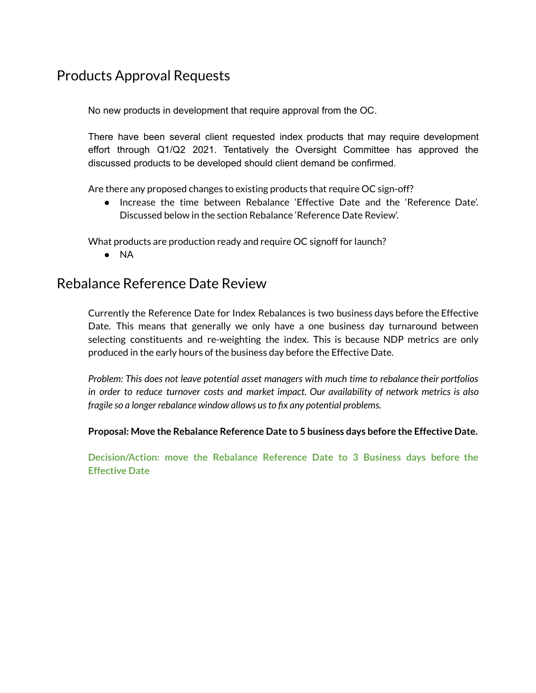### Products Approval Requests

No new products in development that require approval from the OC.

There have been several client requested index products that may require development effort through Q1/Q2 2021. Tentatively the Oversight Committee has approved the discussed products to be developed should client demand be confirmed.

Are there any proposed changes to existing products that require OC sign-off?

● Increase the time between Rebalance 'Effective Date and the 'Reference Date'. Discussed below in the section Rebalance 'Reference Date Review'.

What products are production ready and require OC signoff for launch?

● NA

#### Rebalance Reference Date Review

Currently the Reference Date for Index Rebalances is two business days before the Effective Date. This means that generally we only have a one business day turnaround between selecting constituents and re-weighting the index. This is because NDP metrics are only produced in the early hours of the business day before the Effective Date.

*Problem: This does not leave potential asset managers with much time to rebalance their portfolios in order to reduce turnover costs and market impact. Our availability of network metrics is also fragile so a longer rebalance window allows usto fix any potential problems.*

**Proposal: Move the Rebalance Reference Date to 5 business days before the Effective Date.**

**Decision/Action: move the Rebalance Reference Date to 3 Business days before the Effective Date**